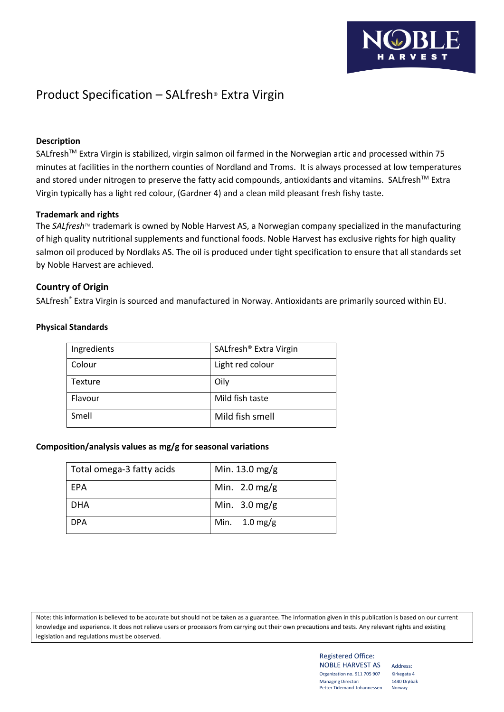# Product Specification – SALfresh® Extra Virgin

# **Description**

SALfresh<sup>™</sup> Extra Virgin is stabilized, virgin salmon oil farmed in the Norwegian artic and processed within 75 minutes at facilities in the northern counties of Nordland and Troms. It is always processed at low temperatures and stored under nitrogen to preserve the fatty acid compounds, antioxidants and vitamins. SALfresh™ Extra Virgin typically has a light red colour, (Gardner 4) and a clean mild pleasant fresh fishy taste.

## **Trademark and rights**

The *SALfresh<sup>™</sup>* trademark is owned by Noble Harvest AS, a Norwegian company specialized in the manufacturing of high quality nutritional supplements and functional foods. Noble Harvest has exclusive rights for high quality salmon oil produced by Nordlaks AS. The oil is produced under tight specification to ensure that all standards set by Noble Harvest are achieved.

# **Country of Origin**

SALfresh® Extra Virgin is sourced and manufactured in Norway. Antioxidants are primarily sourced within EU.

| Ingredients | SALfresh <sup>®</sup> Extra Virgin |
|-------------|------------------------------------|
| Colour      | Light red colour                   |
| Texture     | Oily                               |
| Flavour     | Mild fish taste                    |
| Smell       | Mild fish smell                    |

#### **Physical Standards**

## **Composition/analysis values as mg/g for seasonal variations**

| Total omega-3 fatty acids | Min. 13.0 mg/g          |
|---------------------------|-------------------------|
| EPA                       | Min. $2.0 \text{ mg/g}$ |
| <b>DHA</b>                | Min. $3.0 \text{ mg/g}$ |
| <b>DPA</b>                | Min. $1.0 \text{ mg/g}$ |

Note: this information is believed to be accurate but should not be taken as a guarantee. The information given in this publication is based on our current knowledge and experience. It does not relieve users or processors from carrying out their own precautions and tests. Any relevant rights and existing legislation and regulations must be observed.

#### Registered Office: NOBLE HARVEST AS Address: Organization no. 911 705 907 Kirkegata 4 Managing Director: 1440 Drøbak<br>Petter Tidemand-Johannessen Norway Petter Tidemand-Johannessen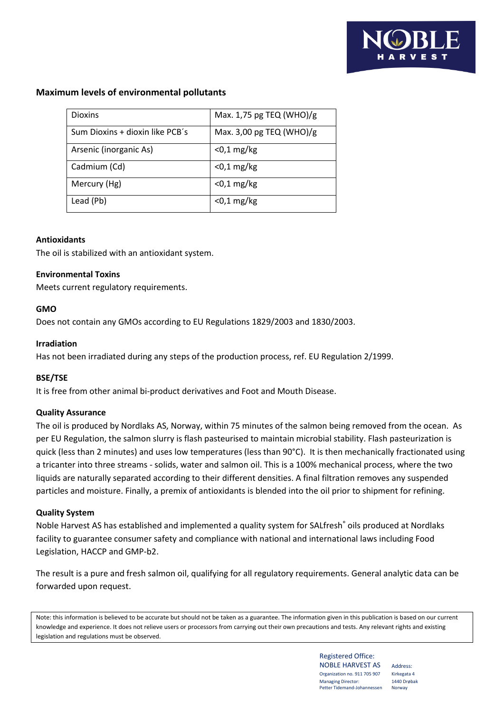# **Maximum levels of environmental pollutants**

| Dioxins                         | Max. 1,75 pg TEQ (WHO)/g |
|---------------------------------|--------------------------|
| Sum Dioxins + dioxin like PCB's | Max. 3,00 pg TEQ (WHO)/g |
| Arsenic (inorganic As)          | $<$ 0,1 mg/kg            |
| Cadmium (Cd)                    | $<$ 0,1 mg/kg            |
| Mercury (Hg)                    | $<$ 0,1 mg/kg            |
| Lead (Pb)                       | $<$ 0,1 mg/kg            |

## **Antioxidants**

The oil is stabilized with an antioxidant system.

#### **Environmental Toxins**

Meets current regulatory requirements.

#### **GMO**

Does not contain any GMOs according to EU Regulations 1829/2003 and 1830/2003.

#### **Irradiation**

Has not been irradiated during any steps of the production process, ref. EU Regulation 2/1999.

## **BSE/TSE**

It is free from other animal bi-product derivatives and Foot and Mouth Disease.

## **Quality Assurance**

The oil is produced by Nordlaks AS, Norway, within 75 minutes of the salmon being removed from the ocean. As per EU Regulation, the salmon slurry is flash pasteurised to maintain microbial stability. Flash pasteurization is quick (less than 2 minutes) and uses low temperatures (less than 90°C). It is then mechanically fractionated using a tricanter into three streams - solids, water and salmon oil. This is a 100% mechanical process, where the two liquids are naturally separated according to their different densities. A final filtration removes any suspended particles and moisture. Finally, a premix of antioxidants is blended into the oil prior to shipment for refining.

## **Quality System**

Noble Harvest AS has established and implemented a quality system for SALfresh® oils produced at Nordlaks facility to guarantee consumer safety and compliance with national and international laws including Food Legislation, HACCP and GMP-b2.

The result is a pure and fresh salmon oil, qualifying for all regulatory requirements. General analytic data can be forwarded upon request.

Note: this information is believed to be accurate but should not be taken as a guarantee. The information given in this publication is based on our current knowledge and experience. It does not relieve users or processors from carrying out their own precautions and tests. Any relevant rights and existing legislation and regulations must be observed.

> Registered Office: NOBLE HARVEST AS Address: Organization no. 911 705 907 Kirkegata 4 Managing Director: 1440 Drøbak<br>Petter Tidemand-Johannessen Norway Petter Tidemand-Johannessen